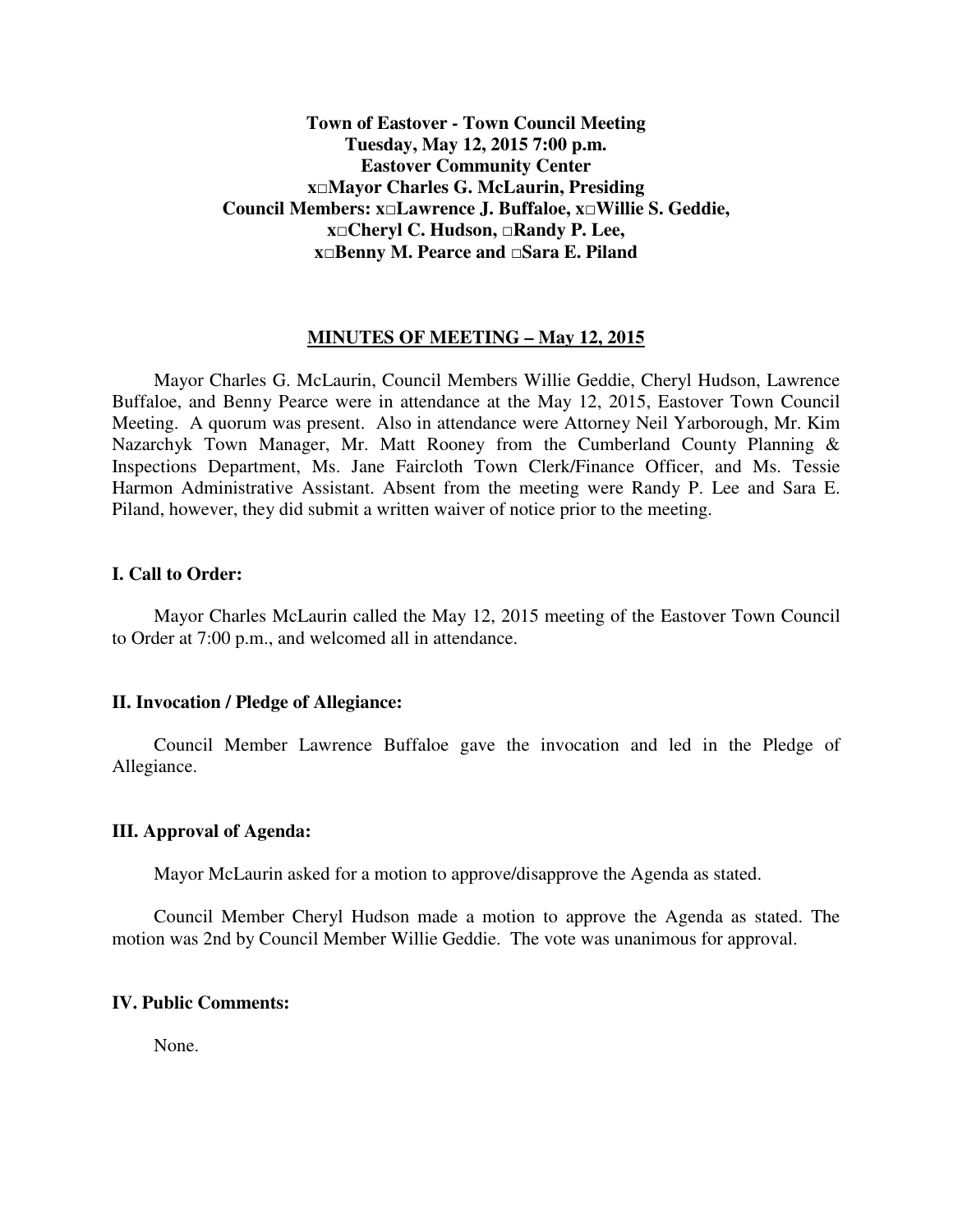# **Town of Eastover - Town Council Meeting Tuesday, May 12, 2015 7:00 p.m. Eastover Community Center x□Mayor Charles G. McLaurin, Presiding Council Members: x□Lawrence J. Buffaloe, x□Willie S. Geddie, x□Cheryl C. Hudson, □Randy P. Lee, x□Benny M. Pearce and □Sara E. Piland**

### **MINUTES OF MEETING – May 12, 2015**

 Mayor Charles G. McLaurin, Council Members Willie Geddie, Cheryl Hudson, Lawrence Buffaloe, and Benny Pearce were in attendance at the May 12, 2015, Eastover Town Council Meeting. A quorum was present. Also in attendance were Attorney Neil Yarborough, Mr. Kim Nazarchyk Town Manager, Mr. Matt Rooney from the Cumberland County Planning & Inspections Department, Ms. Jane Faircloth Town Clerk/Finance Officer, and Ms. Tessie Harmon Administrative Assistant. Absent from the meeting were Randy P. Lee and Sara E. Piland, however, they did submit a written waiver of notice prior to the meeting.

### **I. Call to Order:**

 Mayor Charles McLaurin called the May 12, 2015 meeting of the Eastover Town Council to Order at 7:00 p.m., and welcomed all in attendance.

#### **II. Invocation / Pledge of Allegiance:**

 Council Member Lawrence Buffaloe gave the invocation and led in the Pledge of Allegiance.

#### **III. Approval of Agenda:**

Mayor McLaurin asked for a motion to approve/disapprove the Agenda as stated.

 Council Member Cheryl Hudson made a motion to approve the Agenda as stated. The motion was 2nd by Council Member Willie Geddie. The vote was unanimous for approval.

#### **IV. Public Comments:**

None.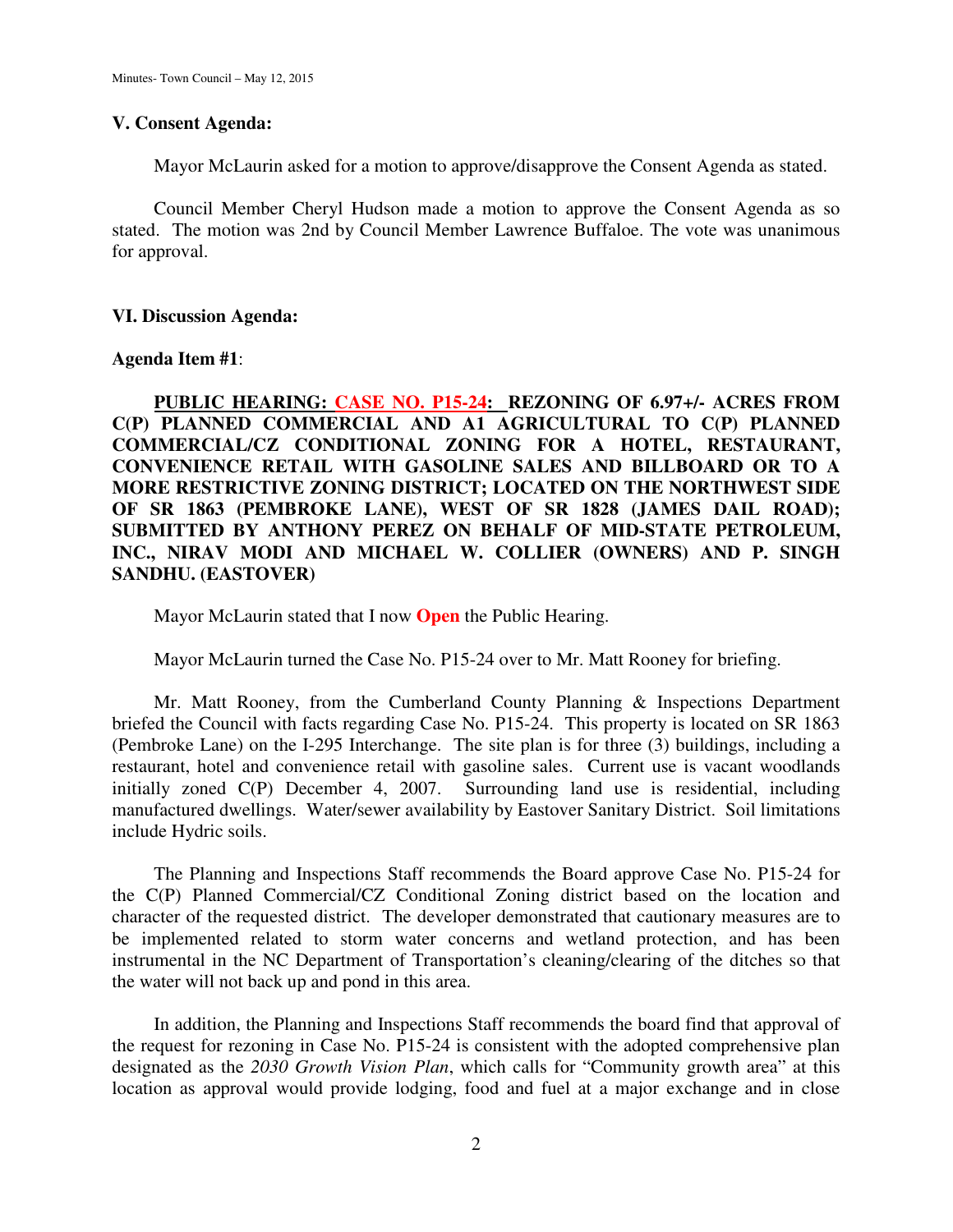#### **V. Consent Agenda:**

Mayor McLaurin asked for a motion to approve/disapprove the Consent Agenda as stated.

 Council Member Cheryl Hudson made a motion to approve the Consent Agenda as so stated. The motion was 2nd by Council Member Lawrence Buffaloe. The vote was unanimous for approval.

#### **VI. Discussion Agenda:**

### **Agenda Item #1**:

**PUBLIC HEARING: CASE NO. P15-24: REZONING OF 6.97+/- ACRES FROM C(P) PLANNED COMMERCIAL AND A1 AGRICULTURAL TO C(P) PLANNED COMMERCIAL/CZ CONDITIONAL ZONING FOR A HOTEL, RESTAURANT, CONVENIENCE RETAIL WITH GASOLINE SALES AND BILLBOARD OR TO A MORE RESTRICTIVE ZONING DISTRICT; LOCATED ON THE NORTHWEST SIDE OF SR 1863 (PEMBROKE LANE), WEST OF SR 1828 (JAMES DAIL ROAD); SUBMITTED BY ANTHONY PEREZ ON BEHALF OF MID-STATE PETROLEUM, INC., NIRAV MODI AND MICHAEL W. COLLIER (OWNERS) AND P. SINGH SANDHU. (EASTOVER)** 

Mayor McLaurin stated that I now **Open** the Public Hearing.

Mayor McLaurin turned the Case No. P15-24 over to Mr. Matt Rooney for briefing.

 Mr. Matt Rooney, from the Cumberland County Planning & Inspections Department briefed the Council with facts regarding Case No. P15-24. This property is located on SR 1863 (Pembroke Lane) on the I-295 Interchange. The site plan is for three (3) buildings, including a restaurant, hotel and convenience retail with gasoline sales. Current use is vacant woodlands initially zoned C(P) December 4, 2007. Surrounding land use is residential, including manufactured dwellings. Water/sewer availability by Eastover Sanitary District. Soil limitations include Hydric soils.

 The Planning and Inspections Staff recommends the Board approve Case No. P15-24 for the C(P) Planned Commercial/CZ Conditional Zoning district based on the location and character of the requested district. The developer demonstrated that cautionary measures are to be implemented related to storm water concerns and wetland protection, and has been instrumental in the NC Department of Transportation's cleaning/clearing of the ditches so that the water will not back up and pond in this area.

 In addition, the Planning and Inspections Staff recommends the board find that approval of the request for rezoning in Case No. P15-24 is consistent with the adopted comprehensive plan designated as the *2030 Growth Vision Plan*, which calls for "Community growth area" at this location as approval would provide lodging, food and fuel at a major exchange and in close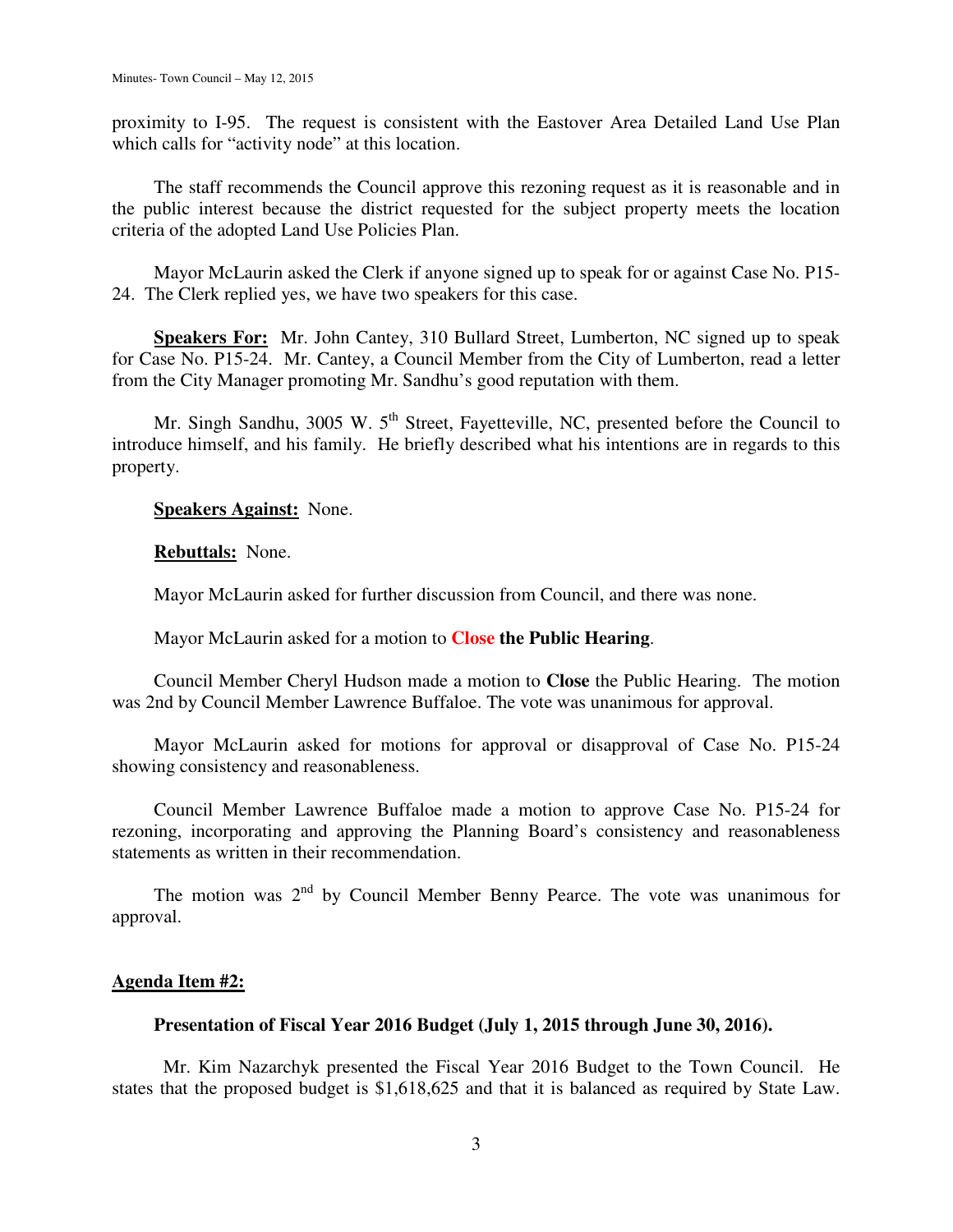proximity to I-95. The request is consistent with the Eastover Area Detailed Land Use Plan which calls for "activity node" at this location.

 The staff recommends the Council approve this rezoning request as it is reasonable and in the public interest because the district requested for the subject property meets the location criteria of the adopted Land Use Policies Plan.

 Mayor McLaurin asked the Clerk if anyone signed up to speak for or against Case No. P15- 24. The Clerk replied yes, we have two speakers for this case.

**Speakers For:** Mr. John Cantey, 310 Bullard Street, Lumberton, NC signed up to speak for Case No. P15-24. Mr. Cantey, a Council Member from the City of Lumberton, read a letter from the City Manager promoting Mr. Sandhu's good reputation with them.

Mr. Singh Sandhu, 3005 W.  $5<sup>th</sup>$  Street, Fayetteville, NC, presented before the Council to introduce himself, and his family. He briefly described what his intentions are in regards to this property.

**Speakers Against:** None.

**Rebuttals:** None.

Mayor McLaurin asked for further discussion from Council, and there was none.

Mayor McLaurin asked for a motion to **Close the Public Hearing**.

 Council Member Cheryl Hudson made a motion to **Close** the Public Hearing. The motion was 2nd by Council Member Lawrence Buffaloe. The vote was unanimous for approval.

 Mayor McLaurin asked for motions for approval or disapproval of Case No. P15-24 showing consistency and reasonableness.

 Council Member Lawrence Buffaloe made a motion to approve Case No. P15-24 for rezoning, incorporating and approving the Planning Board's consistency and reasonableness statements as written in their recommendation.

The motion was  $2<sup>nd</sup>$  by Council Member Benny Pearce. The vote was unanimous for approval.

### **Agenda Item #2:**

#### **Presentation of Fiscal Year 2016 Budget (July 1, 2015 through June 30, 2016).**

 Mr. Kim Nazarchyk presented the Fiscal Year 2016 Budget to the Town Council. He states that the proposed budget is \$1,618,625 and that it is balanced as required by State Law.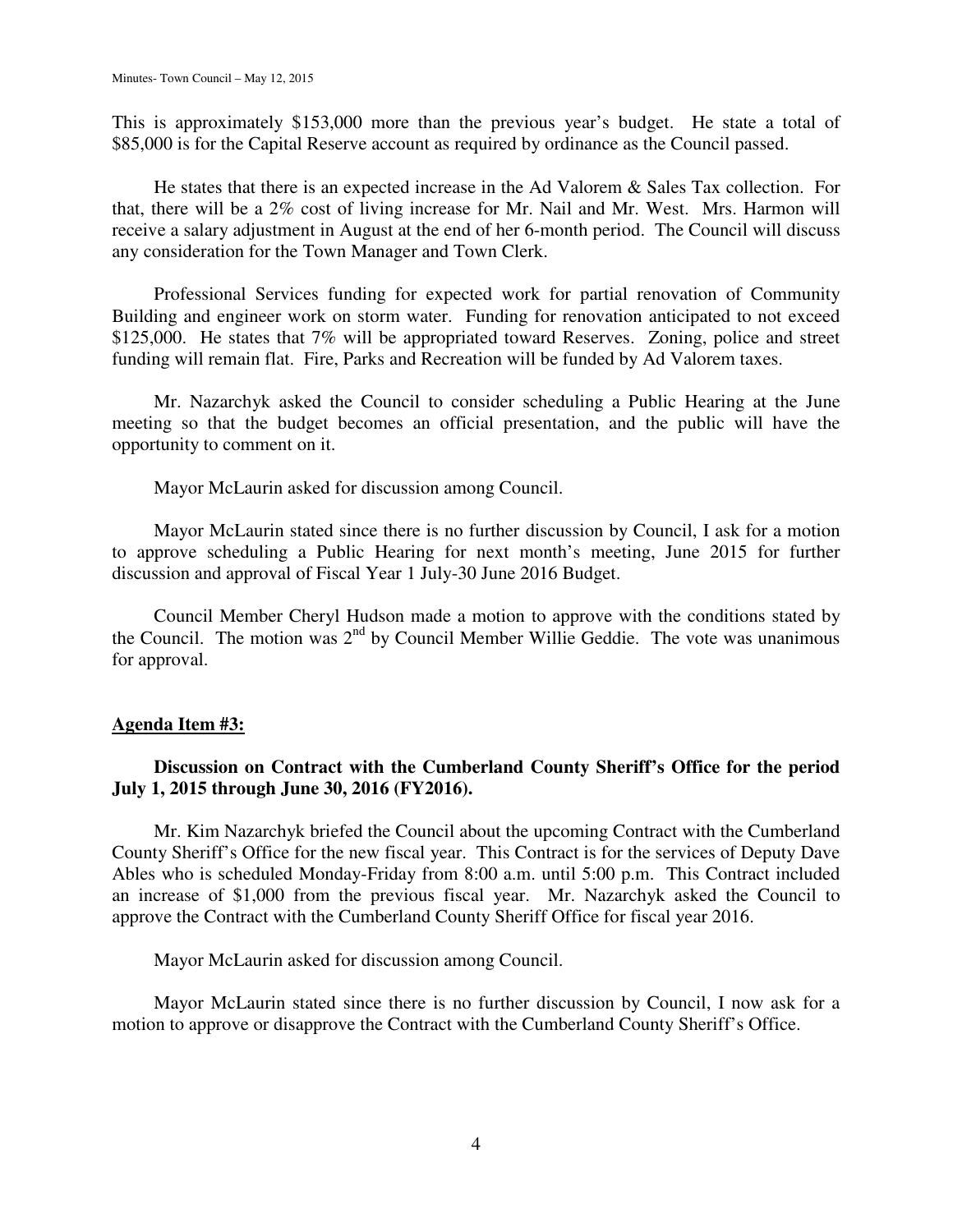This is approximately \$153,000 more than the previous year's budget. He state a total of \$85,000 is for the Capital Reserve account as required by ordinance as the Council passed.

 He states that there is an expected increase in the Ad Valorem & Sales Tax collection. For that, there will be a 2% cost of living increase for Mr. Nail and Mr. West. Mrs. Harmon will receive a salary adjustment in August at the end of her 6-month period. The Council will discuss any consideration for the Town Manager and Town Clerk.

 Professional Services funding for expected work for partial renovation of Community Building and engineer work on storm water. Funding for renovation anticipated to not exceed \$125,000. He states that 7% will be appropriated toward Reserves. Zoning, police and street funding will remain flat. Fire, Parks and Recreation will be funded by Ad Valorem taxes.

 Mr. Nazarchyk asked the Council to consider scheduling a Public Hearing at the June meeting so that the budget becomes an official presentation, and the public will have the opportunity to comment on it.

Mayor McLaurin asked for discussion among Council.

 Mayor McLaurin stated since there is no further discussion by Council, I ask for a motion to approve scheduling a Public Hearing for next month's meeting, June 2015 for further discussion and approval of Fiscal Year 1 July-30 June 2016 Budget.

 Council Member Cheryl Hudson made a motion to approve with the conditions stated by the Council. The motion was  $2<sup>nd</sup>$  by Council Member Willie Geddie. The vote was unanimous for approval.

# **Agenda Item #3:**

# **Discussion on Contract with the Cumberland County Sheriff's Office for the period July 1, 2015 through June 30, 2016 (FY2016).**

Mr. Kim Nazarchyk briefed the Council about the upcoming Contract with the Cumberland County Sheriff's Office for the new fiscal year. This Contract is for the services of Deputy Dave Ables who is scheduled Monday-Friday from 8:00 a.m. until 5:00 p.m. This Contract included an increase of \$1,000 from the previous fiscal year. Mr. Nazarchyk asked the Council to approve the Contract with the Cumberland County Sheriff Office for fiscal year 2016.

Mayor McLaurin asked for discussion among Council.

 Mayor McLaurin stated since there is no further discussion by Council, I now ask for a motion to approve or disapprove the Contract with the Cumberland County Sheriff's Office.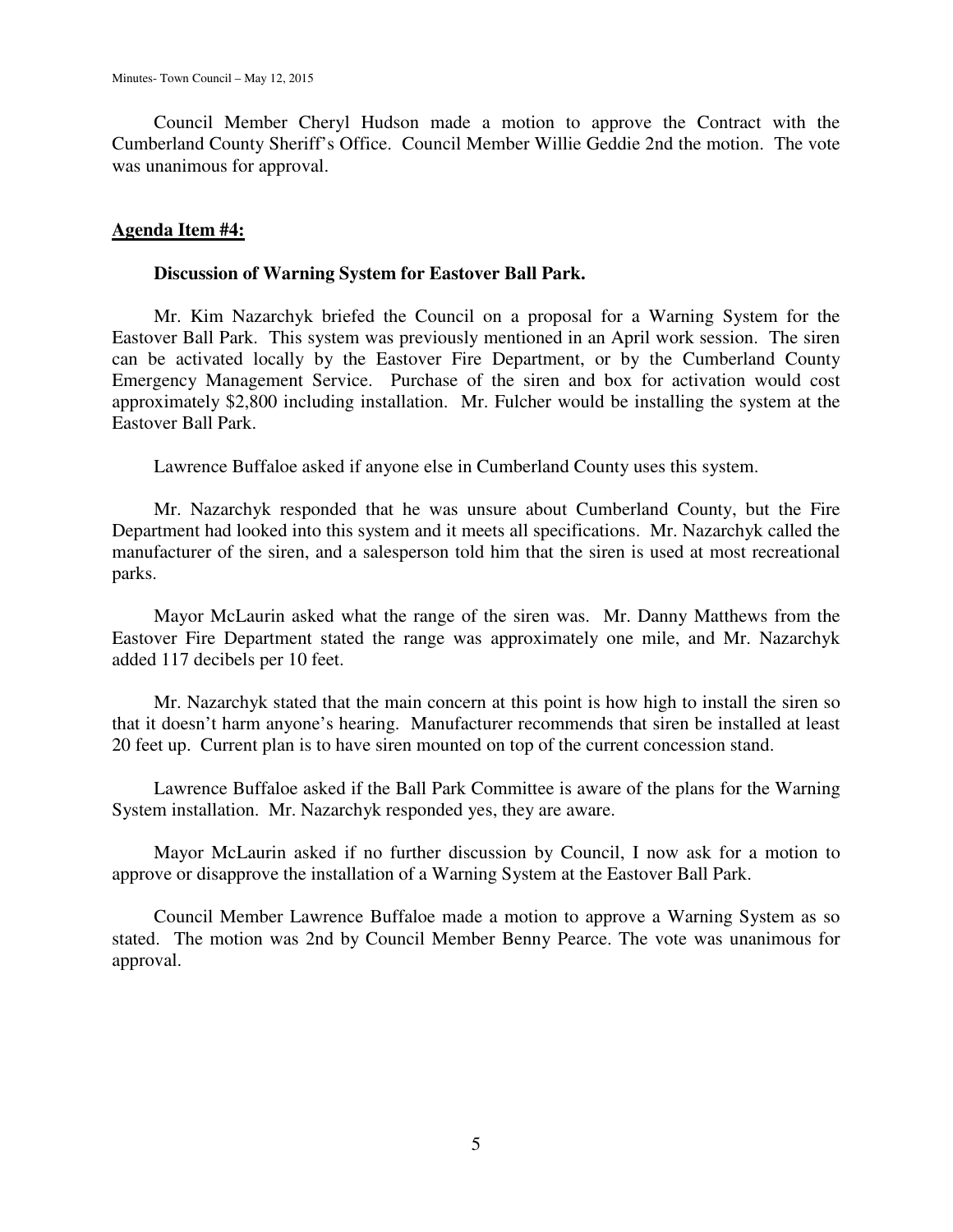Council Member Cheryl Hudson made a motion to approve the Contract with the Cumberland County Sheriff's Office. Council Member Willie Geddie 2nd the motion. The vote was unanimous for approval.

# **Agenda Item #4:**

## **Discussion of Warning System for Eastover Ball Park.**

 Mr. Kim Nazarchyk briefed the Council on a proposal for a Warning System for the Eastover Ball Park. This system was previously mentioned in an April work session. The siren can be activated locally by the Eastover Fire Department, or by the Cumberland County Emergency Management Service. Purchase of the siren and box for activation would cost approximately \$2,800 including installation. Mr. Fulcher would be installing the system at the Eastover Ball Park.

Lawrence Buffaloe asked if anyone else in Cumberland County uses this system.

 Mr. Nazarchyk responded that he was unsure about Cumberland County, but the Fire Department had looked into this system and it meets all specifications. Mr. Nazarchyk called the manufacturer of the siren, and a salesperson told him that the siren is used at most recreational parks.

 Mayor McLaurin asked what the range of the siren was. Mr. Danny Matthews from the Eastover Fire Department stated the range was approximately one mile, and Mr. Nazarchyk added 117 decibels per 10 feet.

 Mr. Nazarchyk stated that the main concern at this point is how high to install the siren so that it doesn't harm anyone's hearing. Manufacturer recommends that siren be installed at least 20 feet up. Current plan is to have siren mounted on top of the current concession stand.

 Lawrence Buffaloe asked if the Ball Park Committee is aware of the plans for the Warning System installation. Mr. Nazarchyk responded yes, they are aware.

 Mayor McLaurin asked if no further discussion by Council, I now ask for a motion to approve or disapprove the installation of a Warning System at the Eastover Ball Park.

 Council Member Lawrence Buffaloe made a motion to approve a Warning System as so stated. The motion was 2nd by Council Member Benny Pearce. The vote was unanimous for approval.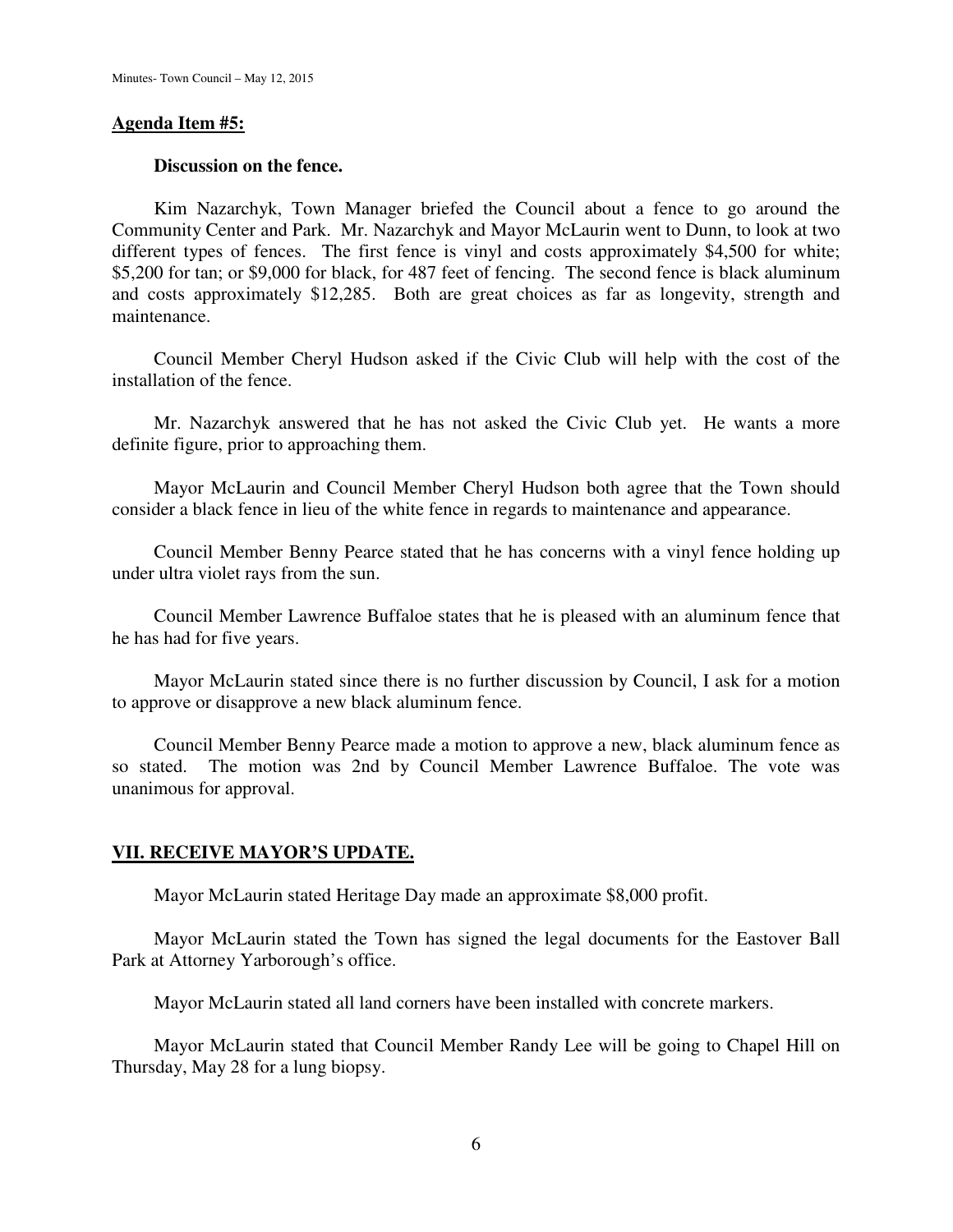### **Agenda Item #5:**

### **Discussion on the fence.**

 Kim Nazarchyk, Town Manager briefed the Council about a fence to go around the Community Center and Park. Mr. Nazarchyk and Mayor McLaurin went to Dunn, to look at two different types of fences. The first fence is vinyl and costs approximately \$4,500 for white; \$5,200 for tan; or \$9,000 for black, for 487 feet of fencing. The second fence is black aluminum and costs approximately \$12,285. Both are great choices as far as longevity, strength and maintenance.

 Council Member Cheryl Hudson asked if the Civic Club will help with the cost of the installation of the fence.

 Mr. Nazarchyk answered that he has not asked the Civic Club yet. He wants a more definite figure, prior to approaching them.

 Mayor McLaurin and Council Member Cheryl Hudson both agree that the Town should consider a black fence in lieu of the white fence in regards to maintenance and appearance.

 Council Member Benny Pearce stated that he has concerns with a vinyl fence holding up under ultra violet rays from the sun.

 Council Member Lawrence Buffaloe states that he is pleased with an aluminum fence that he has had for five years.

 Mayor McLaurin stated since there is no further discussion by Council, I ask for a motion to approve or disapprove a new black aluminum fence.

 Council Member Benny Pearce made a motion to approve a new, black aluminum fence as so stated. The motion was 2nd by Council Member Lawrence Buffaloe. The vote was unanimous for approval.

# **VII. RECEIVE MAYOR'S UPDATE.**

Mayor McLaurin stated Heritage Day made an approximate \$8,000 profit.

 Mayor McLaurin stated the Town has signed the legal documents for the Eastover Ball Park at Attorney Yarborough's office.

Mayor McLaurin stated all land corners have been installed with concrete markers.

 Mayor McLaurin stated that Council Member Randy Lee will be going to Chapel Hill on Thursday, May 28 for a lung biopsy.